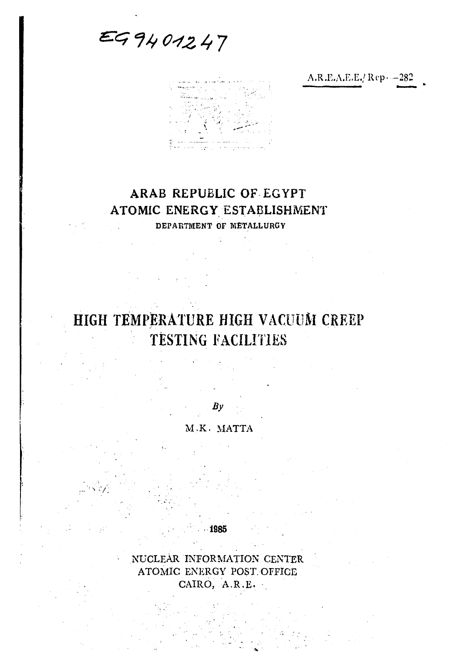*&G f// G-421,* **7** 

J '•:• ings.

# **ARAB REPUBLIC OF EGYPT ATOMIC ENERGY ESTABLISHMENT**

**DEPARTMENT OF METALLURGY** 

# **HIGH TEMPERATURE HIGH VACUUM CREEP TESTING FACILITIES**

 $By$ *U.K.* MATTA

NUCLEAR INFORMATION CENTER ATOMIC ENERGY POST. OFFICE CAIRO, A.R.E.

1885

**\*•** *'/:* 

A.R.E.A.E.E./Rcp--282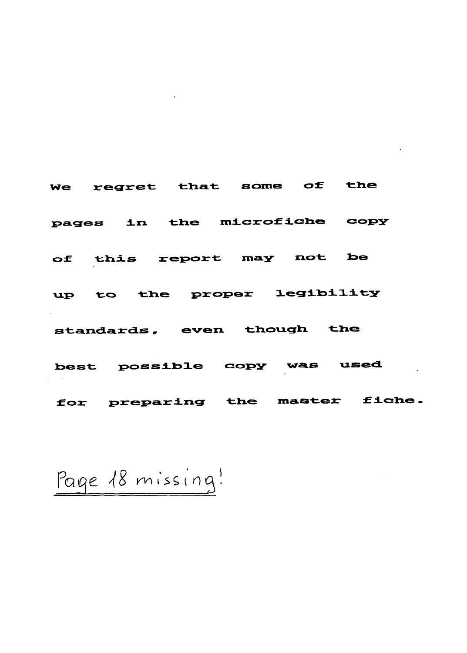We regret that some of the pages in the microfiche copy of this report may not be up to the proper legibility standards, even though the best possible copy was used for preparing the master fiche.

Page 18 missing!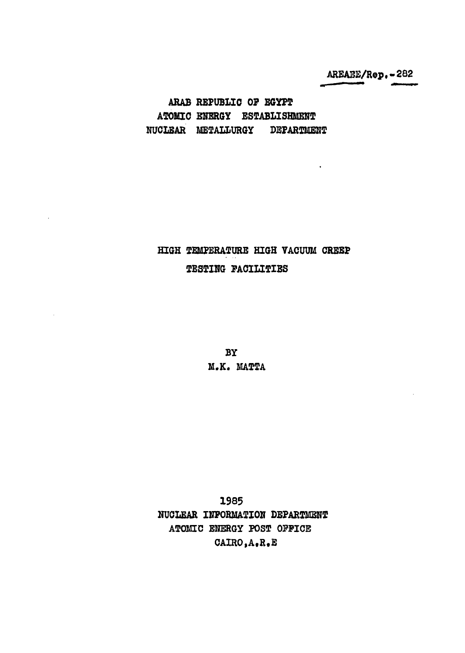**AREAEE/Rep.-282** 

 $\ddot{\phantom{0}}$ 

**ARAB REPUBLIC 0? EGYPT ATOMIC ENERGY ESTABLISHMENT NUCLEAR METALLURGY DEPARTMENT** 

## **HIGH TEMPERATURE HIGH VACUUM CREEP TESTING FACILITIES**

**BY M.K. MATTA** 

**1985 NUCLEAR INFORMATION DEPARTMENT ATOMIC ENERGY POST OFFICE CAIRO,A.R.E**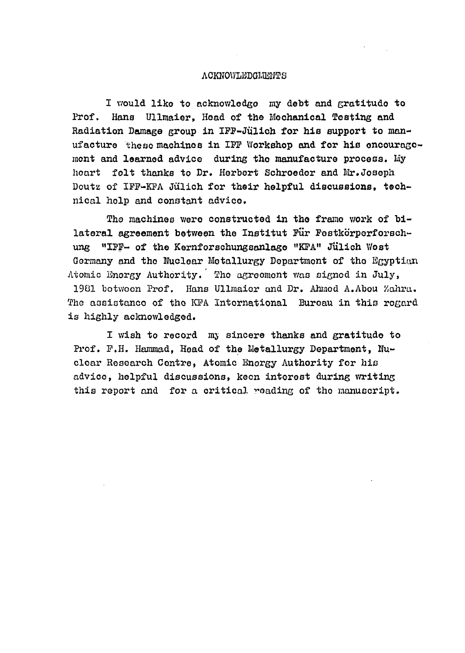#### ACKNOWLEDGMENTS

I would like to acknowledge my debt and gratitude to Prof. Hans Ullmaier, Head of the Mechanical Testing and Radiation Damage group in IFF-Jiilich for his support to manufacture these machines in IFF Workshop and for his oncouragoment and learned advice during tho manufacture process. My hoart felt thanks to Dr. Herbert Schroedor and Mr.Joseph Doutz of IFF-KFA Jülich for their helpful discussions, technical holp and constant advice.

The machines were constructed in the frame work of bilateral agreement between the Institut Fur Festkorperforschung "IFF- of the Kernforschungsanlage "KFA" Jülich Wost Germany and tho Nuclear Metallurgy Department of tho Egyptian Atomic Energy Authority. Tho agreement was signod in July, 1981 botwoon Prof. Hans Ullmaior and Dr. Ahmed A.Abou Zohra. The assistance of the KFA International Bureau in this regard is highly acknowledged.

I wish to record my sincere thanks and gratitude to Prof. F.H. Hammad, Head of the Metallurgy Department, Nuclear Research Centre, Atomic Enorgy Authority for his advice, helpful discussions, keen interest during writing this report and for a critical reading of tho manuscript.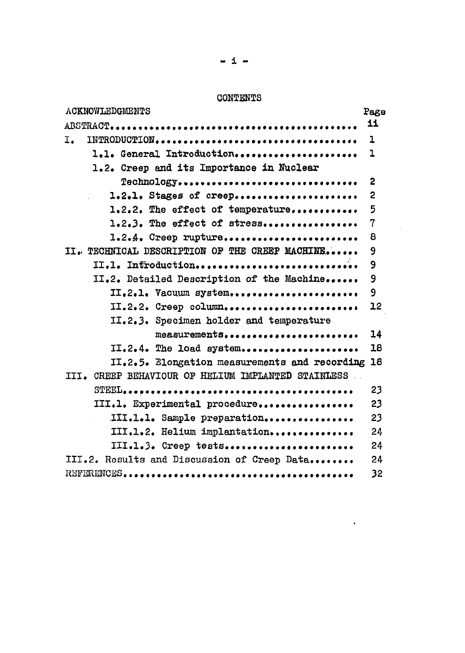#### **CONTENTS**

 $\sim 10^7$ 

 $\mathcal{A}$ 

| <b>ACKNOWLEDGMENTS</b>                             | Page           |
|----------------------------------------------------|----------------|
|                                                    | 11             |
| I.                                                 | $\mathbf 1$    |
| 1.1. General Introduction                          | ı              |
| 1.2. Creep and its Importance in Nuclear           |                |
| Technology                                         | $\mathbf{c}$   |
| 1.2.1. Stages of creep                             | $\mathbf{2}$   |
| 1.2.2. The effect of temperature                   | 5              |
| 1.2.3. The effect of stress                        | $\overline{7}$ |
| $1.2.4.$ Creep rupture                             | 8              |
| II. TECHNICAL DESCRIPTION OF THE CREEP MACHINE     | 9              |
| II.1. Infroduction                                 | 9              |
| II.2. Detailed Description of the Machine          | 9              |
| II.2.1. Vacuum system                              | 9              |
| II.2.2. Creep column                               | 12             |
| II.2.3. Specimen holder and temperature            |                |
| measurements                                       | 14             |
| II.2.4. The load system                            | 18             |
| II.2.5. Elongation measurements and recording 18   |                |
| III. CREEP BEHAVIOUR OF HELIUM IMPLANTED STAINLESS |                |
|                                                    | 23             |
| III.1. Experimental procedure                      | 23             |
| III.1.1. Sample preparation                        | 23             |
| III.1.2. Helium implantation                       | 24             |
| III.1.3. Creep tests                               | 24             |
| III.2. Results and Discussion of Creep Data        | 24             |
|                                                    | 32             |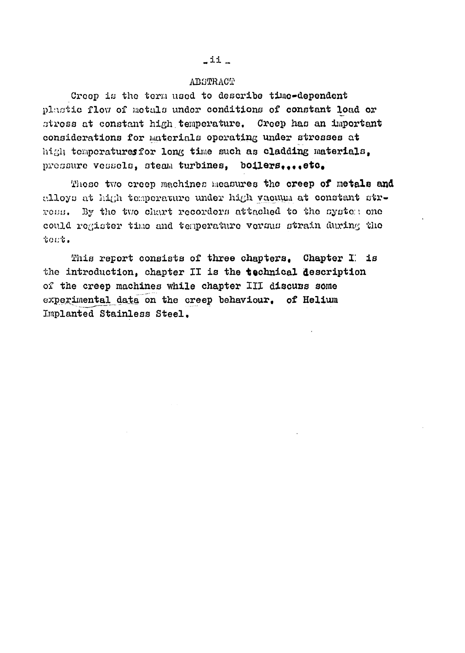#### **ABSTRACT**

Creop is the term used to describe time-dependent plastic flow of metals under conditions of constant load or stress at constant high temperature. Creep has an important considerations for materials operating under stresses at **high** temperaturesfor long time such as cladding materials, pressure vessels, steam turbines, boilers.... etc.

Those two creep machines measures the creep of **metals and**  alloys at high tomperature under high vacuum at constant strross. By the two chart recorders attached to the system one could register time and temperature vorsus strain during the to.'.:t.

This report consists of three chapters, Chapter *T.* is the introduction, chapter II is the **technical** description of the creep machines while chapter III discuss some experimental data on the creep behaviour. of Helium Implanted Stainless Steel,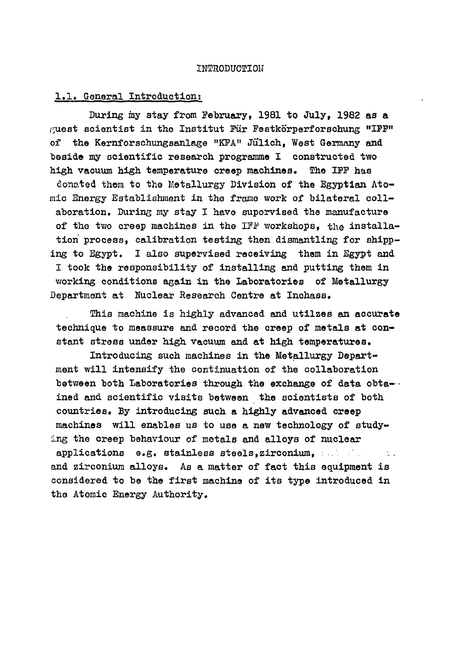#### INTRODUCTION

#### 1.1. General Introduction;

During my stay from February, 1981 to July, 1982 as a  $\beta$ uest scientist in the Institut Für Festkörperforschung "IFF" of the Kernforschungsanlage "KFA" Jülich, West Germany and beside my scientific research programme I constructed two high vacuum high temperature creep machines. The IFF has donated them to the Metallurgy Division of the Egyptian Atomic Energy Establishment in the frame work of bilateral collaboration. During my stay I have supervised the manufacture of the two creep machines in the IFF workshops, the installation process, calibration testing then dismantling for shipping to Egypt. I also supervised receiving them in Egypt and I took the responsibility of installing and putting them in working conditions again in the Laboratories of Metallurgy Department at Nuclear Research Centre at Inchass.

This machine is highly advanced and utilzes an accurate technique to meassure and record the creep of metals at constant stress under high vacuum and at high temperatures.

Introducing such machines in the Metallurgy Department will intensify the continuation of the collaboration between both Laboratories through the exchange of data obtained and scientific visits between the scientists of both countries. By introducing such a highly advanced creep machines will enables us to use a new technology of studying the creep behaviour of metals and alloys of nuclear applications e.g. stainless steels,zirconium, : and zirconium alloys. As a matter of fact this equipment is considered to be the first machine of its type introduced in the Atomic Energy Authority.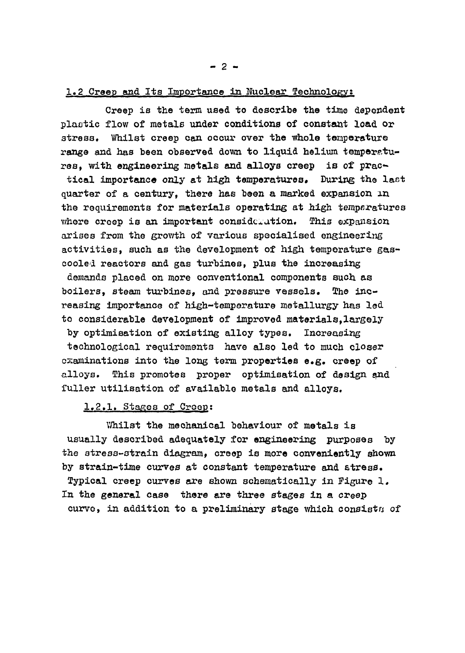#### 1.2 Creep and Its Importance in Nuclear Technology:

Creep is the term used to describe the time dependent plaotic flow of metals under conditions of constant load or stress. Whilst creep can occur over the whole temperature range and has been observed down to liquid helium temperatures, with engineering metals and alloys creep is of practical importance only at high temperatures. During the last quarter of a century, there has been a marked expansion in the requirements for materials operating at high temperatures where creep is an important consideration. This expansion arises from the growth of various specialised engineering activities, such as the development of high temperature gascooled reactors and gas turbines, plus the increasing demands placed on more conventional components such as boilers, steam turbines, and pressure vessels. The increasing importance of high-temperature metallurgy has led to considerable development of improved materials,largely by optimisation of existing alloy types. Increasing technological requirements have also led to much closer examinations into the long term properties e.g. creep of alloys. This promotes proper optimisation of design and fuller utilisation of available metals and alloys.

#### 1.2.1. Stages of Creep;

Whilst the mechanical behaviour of metals is usually described adequately for engineering purposes by the stress-strain diagram, creep is more conveniently shown by strain-time curves at constant temperature and stress. Typical creep curves are shown schematically in Figure 1. In the general case there are three stages in a creep curve, in addition to a preliminary stage which consists of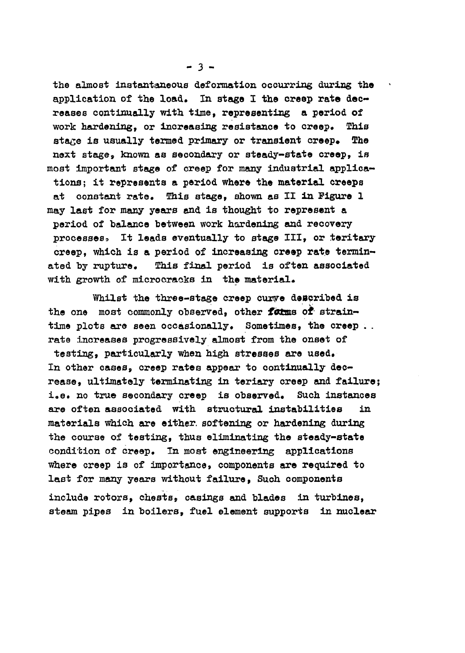the almost instantaneous deformation occurring during the application of the load. In stage I the creep rate decreases continually with time, representing a period of work hardening, or increasing resistance to creep. This stage is usually termed primary or transient creep. The next stage, known as secondary or steady-state creep, is most important stage of creep for many industrial applications; it represents a period where the material creeps at constant rate. This stage, shown as II in Figure 1 may last for many years and is thought to represent a period of balance between work hardening and recovery processess It leads eventually to stage III, or teritary creep, which is a period of increasing creep rate terminated by rupture. This final period is often associated with growth of microcracks in the material.

Whilst the three-stage creep curve described is the one most commonly observed, other forms of straintime plots are seen occasionally. Sometimes, the creep . . rate increases progressively almost from the onset of testing, particularly when high stresses are used. In other cases, creep rates appear to continually decrease, ultimately terminating in teriary creep and failure; i.e. no true secondary creep is observed. Such instances are often associated with structural instabilities in materials which are either, softening or hardening during the course of testing, thus eliminating the steady-state condition of creep. In most engineering applications where creep is of importance, components are required to last for many years without failure, Such components include rotors, chests*v* casings and blades in turbines, steam pipes in boilers, fuel element supports in nuclear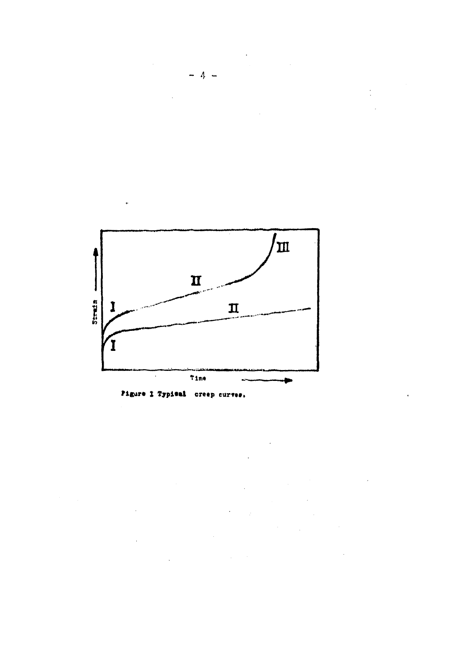



 $\ddot{\phantom{0}}$ 



 $\mathbb{R}^2$ 

 $\ddot{\phantom{a}}$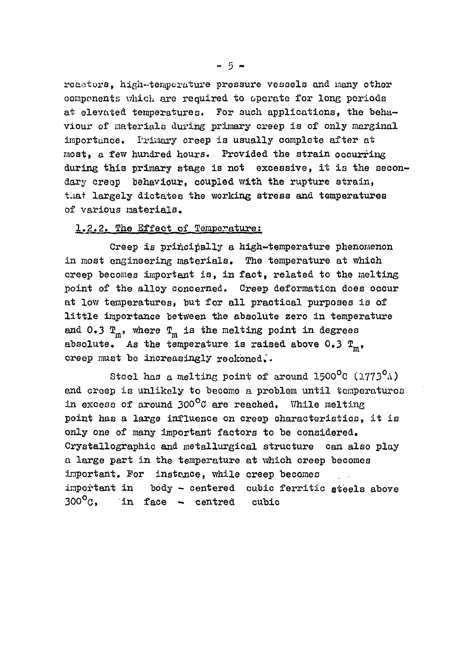reactors, high-temperature pressure vessels and many other components which are required to operate for long, periods at elevated temperatures. For such applications, the behaviour of materials during primary creep is of only marginal importance. Primary creep is usually complete after at most, a few hundred hours. Provided the strain occurring during this primary stage is not excessive, it is the secondary creep behaviour, coupled with the rupture strain, that largely dictates the working stress and temperatures of various materials.

#### 1.2.2. The Effect of Temperature:

Creep is principally a high-temperature phenomenon in most engineering materials. The temperature at which creep becomes important is, in fact, related to the melting point of the alloy concerned. Creep deformation does occur at low temperatures, but for all practical purposes is of little importance between the absolute zero in temperature and 0.3  $T_m$ , where  $T_m$  is the melting point in degrees absolute. As the temperature is raised above 0.3  $T_m$ , creep must be increasingly reckoned..

Stoel has a melting point of around  $1500^{\circ}$ C (1773 $^{\circ}$ A) end creep is unlikely to become a problem until temperatures in excess of around  $300^{\circ}$ C are reached. While melting point has a large influence on creep characteristics, it is only one of many important factors to be considered. Crystallographic and metallurgical structure can also play a large part in the temperature at which creep becomes important. For instance, while creep becomes important in body - centered cubic ferritic steels above  $300^{\circ}$ g, in face - centred cubic

 $-5 -$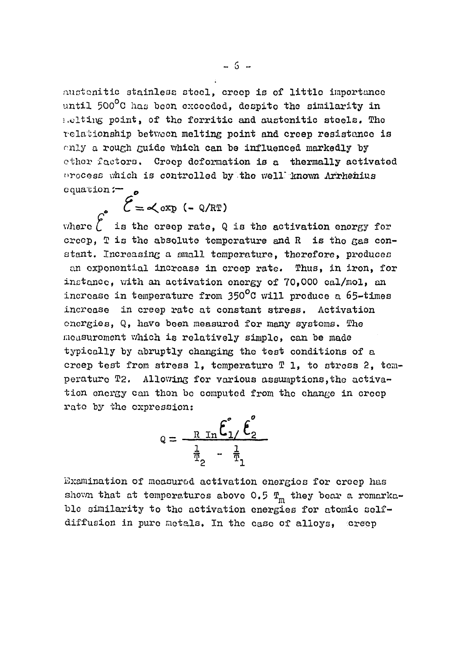austonitic stainless stool, creep is of little importance until 500°C has been exceeded, despito the similarity in melting point, of tho fcrritic and austonitic steels, Tho relationship betv/oon melting point and creep resistance is only a rough guide which can be influenced markedly by other factors. Creep deformation is a thermally activated orocess which is controlled by the well known Arrhenius equation;—*<sup>0</sup>*

 $\mathcal{E} = \langle \exp(-Q/RT) \rangle$ 

where  $\overrightarrow{C}$  is the creep rate, Q is the activation energy for creep.  $T$  is the absolute temperature and  $R$  is the gas constant. Increasing a small temperature, therefore, produces an exponential increase in creep rate. Thus, in iron, for instance, with, an activation energy of 70,000 cal/mol, an increase in temperature from 350°C will produce a 65-times increase in creep rate at constant stress. Activation energies, Q, have been measured for many systems. The measurement which is relatively simple, can be made typically by abruptly changing the test conditions of a creep test from stress 1, temperature T 1, to stress 2, temperature T2. Allowing for various assumptions, the activation energy can then be computed from the change in creep rate by the expression:

$$
Q = \frac{R \operatorname{In} \tilde{\mathbf{E}}_1 / \tilde{\mathbf{E}}_2}{\frac{1}{T_2} - \frac{1}{T_1}}
$$

Examination of moasurod activation energies for creep has shown that at temperatures above 0.5  $T_m$  they bear a remarkable similarity to the activation energies for atomic selfdiffusion in pure metals. In the case of alloys, creep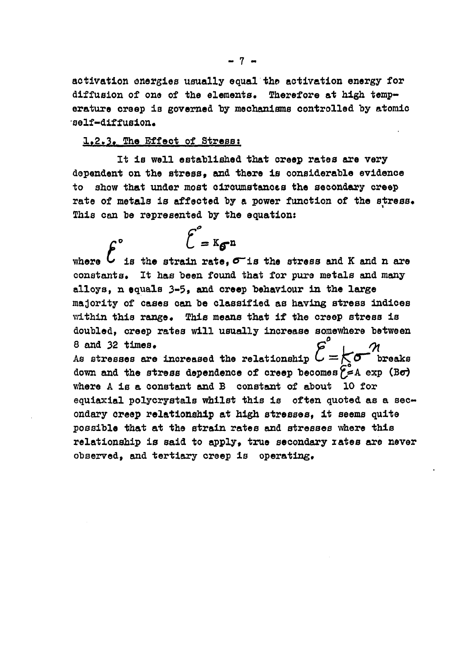activation energies usually equal the activation energy for **diffusion of one of the elements. Therefore at high temp**erature creep is governed by mechanisms controlled by atomic **self-diffusion.** 

### **1.2.3\* The Effect of Stress:**

**It is well established that creep rates are very dependent on the stress, and there is considerable evidence to show that under most circumstances the secondary creep**  rate of metals is affected by a power function of the stress. **This can be represented by the equation:** 

 $\epsilon^{\circ}$  =  $K_{\epsilon}$ n where  $\mathcal L$  is the strain rate,  $\sigma$  is the stress and K and n are constants. It has been found that for pure metals and many alloys, n equals 3-5, and creep behaviour in the large majority of cases can be classified as having stress indices within this range. This means that if the creep stress is doubled, creep rates will usually increase somewhere between  $\theta$  and 32 times.  $G'$  ,  $\alpha$ As stresses are increased the relationship  $C = \sum_{i=1}^{n} \sigma_i$ . down and the stress dependence of creep becomes  $\tilde{f}$  = A exp (B $\sigma$ ) where A is a constant and B constant of about 10 for equiaxial polycrystals whilst this is often quoted as a secondary creep relationship at high stresses. it seems quite possible that at the strain rates and stresses where this relationship is said to apply, true secondary rates are never observed, and tertiary creep is operating.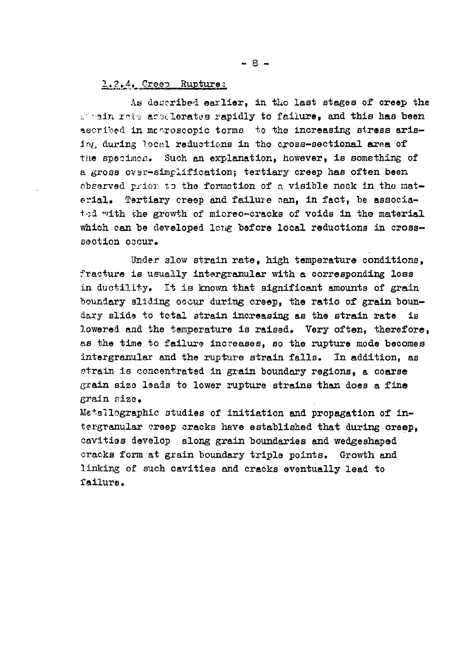#### 2.2.4. Creep Rupture*z*

As described earlier, in the last stages of creep the .<sup>2</sup> bain rate accelerates rapidly to failure, and this has been ascribed in mecroscopic torms to the increasing stress arising during local reductions in tho cross-sectional aroa of the specimen.. Such an explanation, however, is something of a gross over-simplification; tertiary creep has often been observed prior to the formation of a visible nock in the material. Tertiary creep and failure can, in fact, be associated with the growth of micreo-cracks of voids in the material which can be developed long before local reductions in crosssection occur.

Under slow strain rate, high temperature conditions. fracture is usually intergranular with a corresponding loss in ductility. It is known that significant amounts of grain boundary sliding occur during creep, the ratio of grain boundary slide to total strain increasing as the strain rate is lowered and the temperature is raised. Very often, therefore, as the time to failure increases, so the rupture mode becomes intergranular and the rupture strain falls. In addition, as strain is concentrated in grain boundary regions, a coarse grain size leads to lower rupture strains than does a fine grain size.

Metallographic studies of initiation and propagation of intergranular creep cracks have established that during creep, cavities develop along grain boundaries and wedgeshaped cracks form at grain boundary triple points. Growth and linking of such cavities and cracks eventually lead to failure.

 $- 8 -$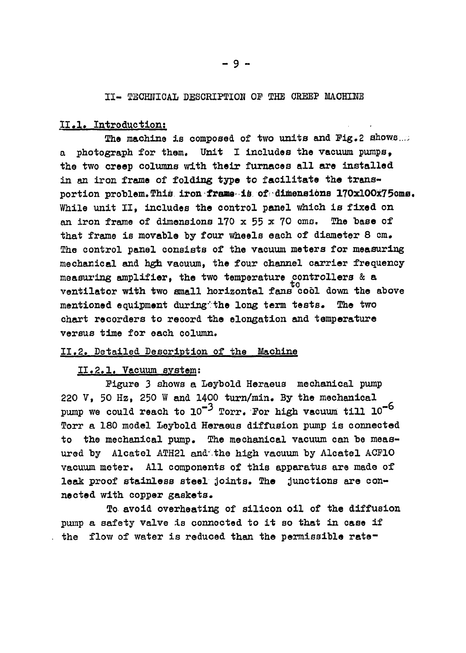#### II- TECHNICAL DESCRIPTION OF THE CREEP MACHINE

#### 11.1. Introduction;

The machine is composed of two units and Fig.2 shows... a photograph for them. Unit I includes the vacuum pumps, the two creep columns with their furnaces all are installed in an iron frame of folding type to facilitate the transportion problem. This iron frame is of dimensions 170x100x75cms. While unit II, includes the control panel which is fixed on an iron frame of dimensions  $170 \times 55 \times 70$  cms. The base of that frame is movable by four wheels each of diameter 8 cm. The control panel consists of the vacuum meters for measuring mechanical and hgh vacuum, the four channel carrier frequency measuring amplifier, the two temperature controllers & a to ventilator with two small horizontal fans cool down the above mentioned equipment during the long term tests. The two chart recorders to record the elongation and temperature versus time for each column.

#### 11.2. Detailed Description of the Machine

#### II.2.1. Vacuum system;

Pigure 3 shows a Leybold Heraeus mechanical pump 220 V, 50 Hz, 250 W and 1400 turn/min. By the mechanical pump we could reach to  $10^{-3}$  Torr. For high vacuum till  $10^{-6}$ Torr a 180 model leybold Heraeus diffusion pump is connected to the mechanical pump. The mechanical vacuum can be measured by Alcatel ATH21 and the high vacuum by Alcatel ACF10 vacuum meter. All components of this apparatus are made of leak proof stainless steel joints. The junctions are connected with copper gaskets.

To avoid overheating of silicon oil of the diffusion pump a safety valve is connocted to it so that in case if the flow of water is reduced than the permissible rate-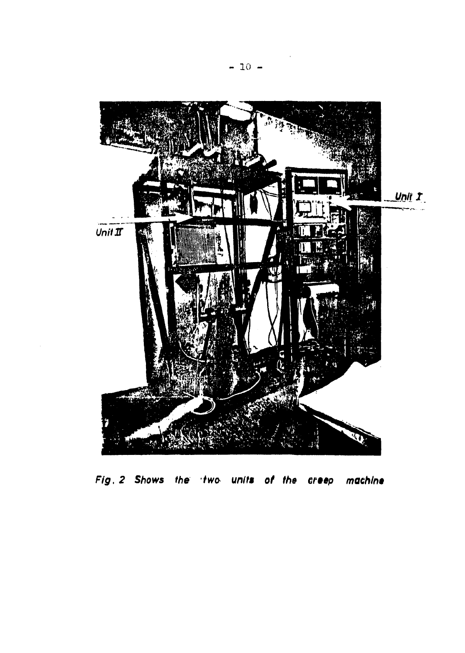

Fig. 2 Shows the two units of the creep machine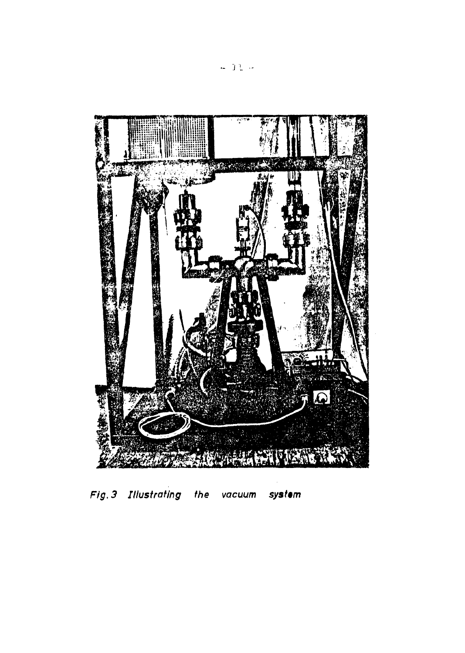

Fig. 3 Illustrating the system vacuum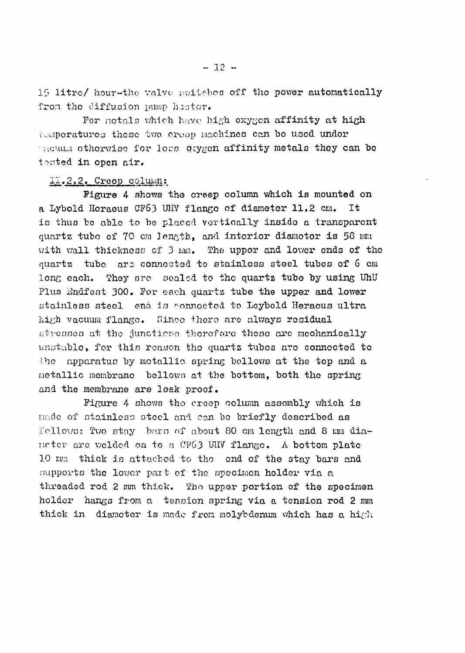15 litre/ hour-the valve switches off the power automatically from the diffusion pump heater.

For notals which have high oxygen affinity at high tv.'.nporaturea those 'uwo oroop Machines can bo used undor  $\sim$   $\alpha$  atherwise for less qaygon affinity metals they can be tested in open air.

#### 11.2.2.. Creep column:

Figure 4 shows the creep column which is mounted on a Lybold Heraeus CF63 UHV flange of diameter 11.2 cm. It is thus be able to be placed vertically inside a transparent quartz tubo of 70 cm length, and interior diameter is 58 mm with wall thickness of 3 mm. The upper and lower ends of tho quartz tube are connected to stainless steel tubes of 6 cm long each. They are sealed to the quartz tube by using UhU Plus Endfest 300. For each quartz tube the upper and lower stainless steel end is connected to Leybold Heraous ultra high vacuum flange. Since thoro arc always residual stresses at the junctions therefore these are mechanically unstable, for this reason the quartz tubes are connected to the apparatus by metallic spring bellows at the top and a Metallic membrane bellows at the bottom, both the spring and the membrane are leak proof.

Figure 4 shows tho creep column assembly which is nado of stainless steel and can bo briefly described as follows: Two stay bars of about 80 cm length and 8 mm dianeter are welded on to a CFG3 UHV flange. A bottom plate 10 mm thick is attached to the end of the stay bars and supports the lower part of the specimen holder via a threaded rod 2 mm thick. Tho upper portion of the specimen holder hangs from a tension spring via a tension rod 2 mm thick in diameter is made from molybdenum which has a high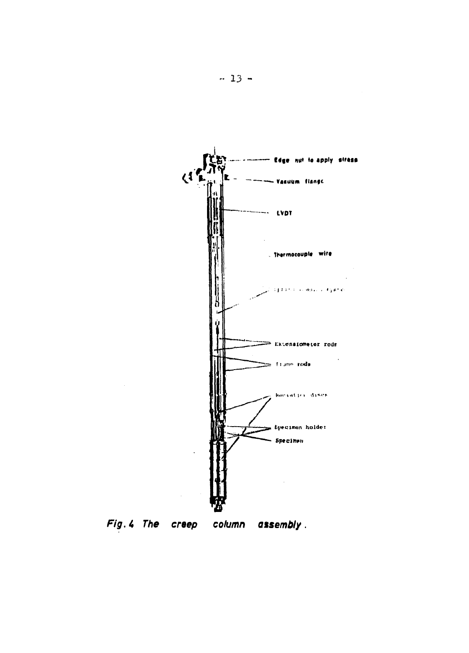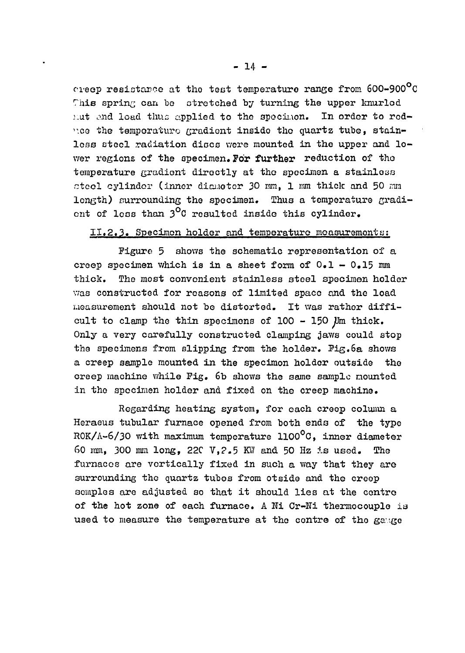oreop resistance at the test temperature range from 6OO-900°C This spring can be stretched by turning the upper knurled *y.at* o.nd load thus applied to the spocinon. In order to reduce the temperature gradient inside the quartz tube, stainless steel radiation discs were mounted in the upper and lower regions of the specimen. **For** further reduction of the temperature gradient directly at the specimen a stainless ctcel cylinder (inner diouotor 30 mm, 1 mm thick and 50 mm length) surrounding the specimen. Thus a temperature gradient of loss than  $3^{\circ}$ C resulted inside this cylinder.

#### II.2.3. Specimen holder and temperature measurements:

Figure 5 shows the schematic representation of a creep specimen which is in a sheet form of  $0.1 - 0.15$  mm thick. The most convenient stainless steel specimen holder was constructed for reasons of limited space and the load measurement should not be distorted. It was rather difficult to clamp the thin specimens of  $100 - 150$  Um thick. Only a very carefully constructed clamping jaws could stop the specimens from slipping from the holder. Pig.6a shows a creep sample mounted in the specimon holder outside the creep machine while Pig. 6b shows the same sample mounted in the specimen holder and fixed on the creep machine.

Regarding heating system, for each creep column a Heraeus tubular furnace opened from both ends of the type ROK/ $\Lambda$ -6/30 with maximum temperature 1100<sup>o</sup>C, inner diameter 60 mm, 300 mm long, 22C V,?.5 KW and 50 Hz is used. The furnaces are vertically fixed in such a way that they are surrounding the quartz tubes from otside and the creep semples are adjusted so that it should lies at the centre of the hot zone of each furnace. A Ni Cr-Ni thermocouple is used to measure the temperature at the centre of the gauge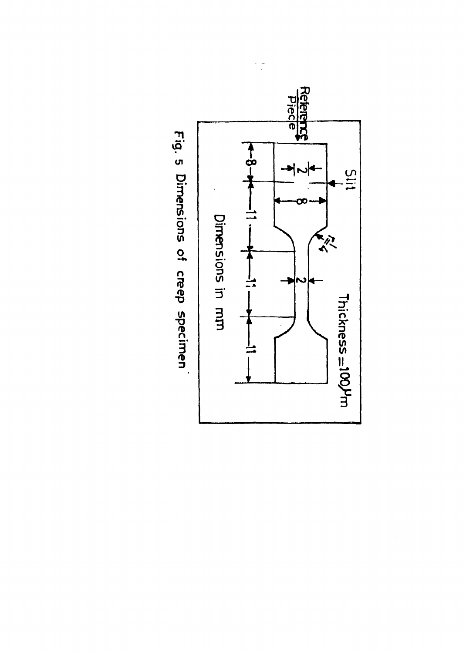

J

Fig. 5 Dimensions of creep specimen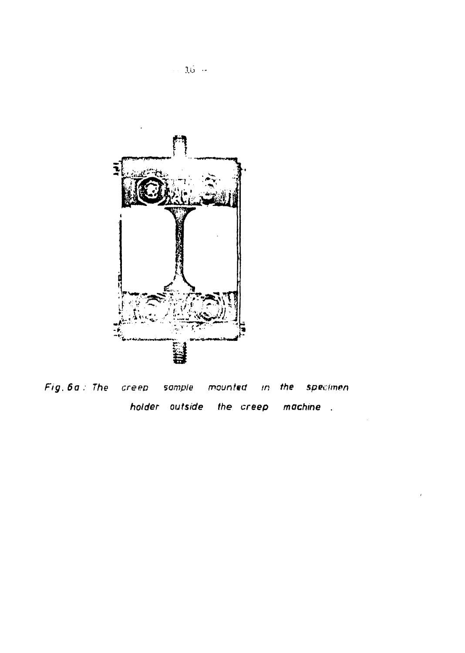

Fig. 6a : The creep sample mounted in the specimen holder outside the creep machine.

 $\epsilon$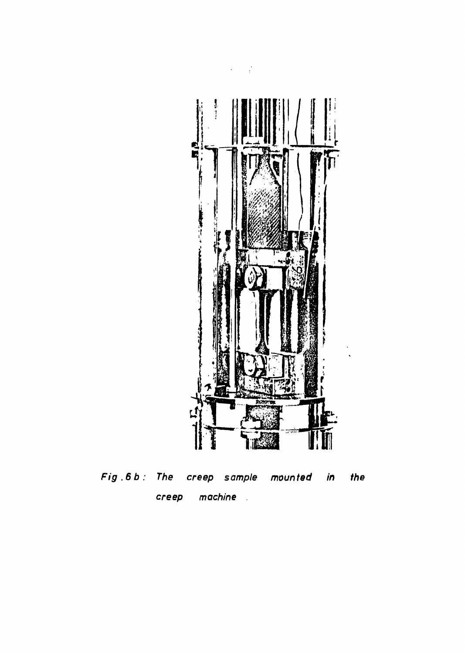

**Fig.6b: The creep sample mounted in the creep machine**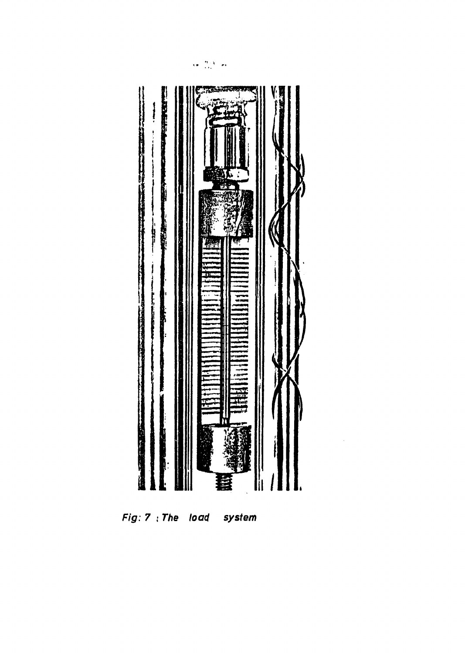

 $Fig: 7: The load$ system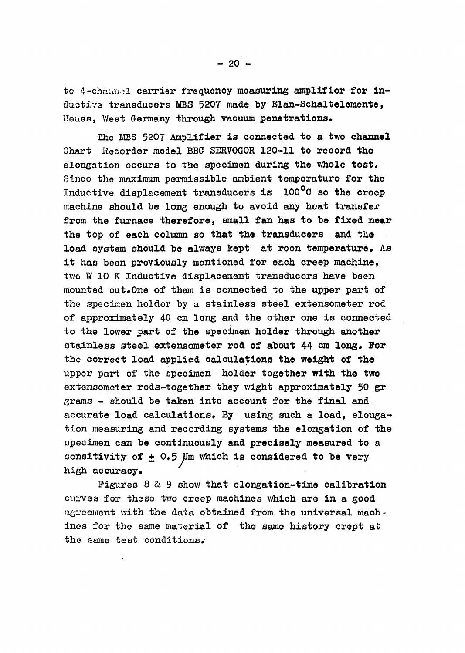to 4-channel carrier frequency measuring amplifier for inductive transducers MBS 5207 made by Elan-Schaltelemente, lleuss, West Germany through vacuum penetrations.

The MBS 5207 Amplifier is connected to a two channel Chart Recorder model BBC SERVOGOR 120-11 to record the elongation occurs to the specimen during the whole test, Sinco the maximum permissible ambient temperature for the Inductive displacement transducers is 100°C so the creep machine should be long enough to avoid any boat transfer from the furnace therefore, small fan has to be fixed near the top of each column so that the transducers and the load system should be always kept at roon temperature. As it has been previously mentioned for each creep machine, two W 10 K Inductive displacement transducers have been mounted out.One of them is connected to the upper part of the specimen holder by a stainless steel extensometer rod of approximately 40 cm long and the other one is connected to the lower part of the specimen holder through another stainless steel extensometer rod of about 44 cm long. For the correct load applied calculations the weight of the upper part of the specimen holder together with the two extensomoter rods-together they wight approximately 50 gr grams - should be taken into account for the final and accurate load calculations. By using such a load, elongation measuring and recording systems the elongation of the specimen can be continuously and precisely measured to a sensitivity of  $\pm$  0.5  $\mu$ m which is considered to be very high accuracy.

Figures 8 & 9 show that elongation-time calibration curves for these two creep machines which are in a good agreement with the data obtained from the universal machines for the same material of the same history crept at the same test conditions.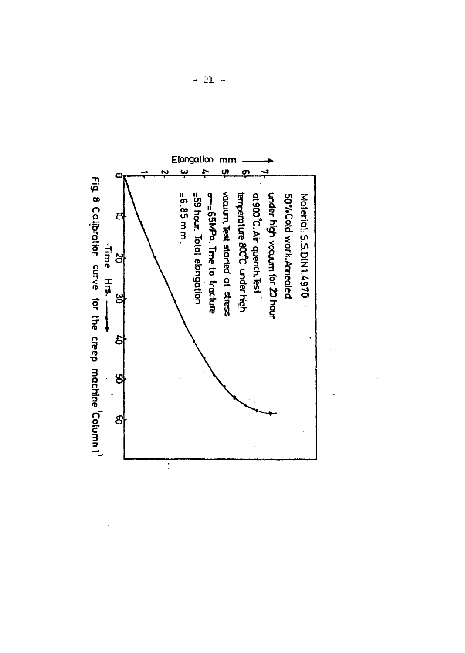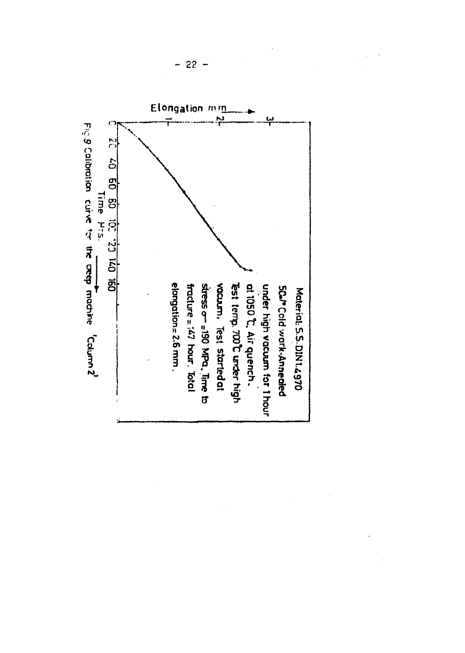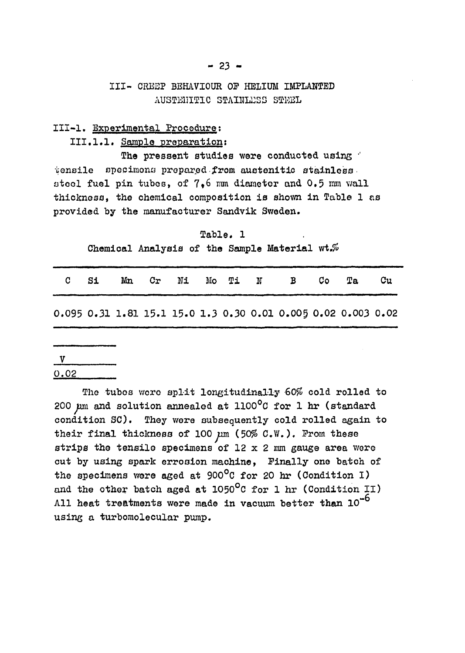### III- CREEP BEHAVIOUR OF HELIUM IMPLANTED AUSTENITIC STAINLESS STEEL

### III-l. Experimental Procedure;

#### III.1.1. Sample preparation:

The pressent studies were conducted using  $\dot{\phantom{a}}$ tensile specimons prepared from austenitic stainless stool fuel pin tubes, of 7,6 mm diameter and 0.5 mm wall thickness, the chemical composition is shown in Table 1 as provided by the manufacturer Sandvik Sweden.

Table. 1 Chemical Analysis of the Sample Material wt.%

| C Si |  |  |  | Mn Cr Ni Mo Ti N B Co                                         | Ta | Cu |
|------|--|--|--|---------------------------------------------------------------|----|----|
|      |  |  |  | 0.095 0.31 1.81 15.1 15.0 1.3 0.30 0.01 0.005 0.02 0.003 0.02 |    |    |

# $V$

0.02

The tubos wore split longitudinally 60% cold rolled to 200  $\mu$ m and solution annealed at 1100 $^{\circ}$ C for 1 hr (standard condition SC). They were subsequently cold rolled again to their final thickness of 100  $\mu$ m (50% C.W.). From these strips the tensile specimens of 12  $x$  2 mm gauge area were cut by using spark errosion machine, Finally one batch of the specimens were aged at 900°C for 20 hr (Condition I) and the other batch aged at  $1050^{\circ}$ C for 1 hr (Condition II) All heat treatments were made in vacuum better than  $10^{-6}$ using a turbomolecular pump.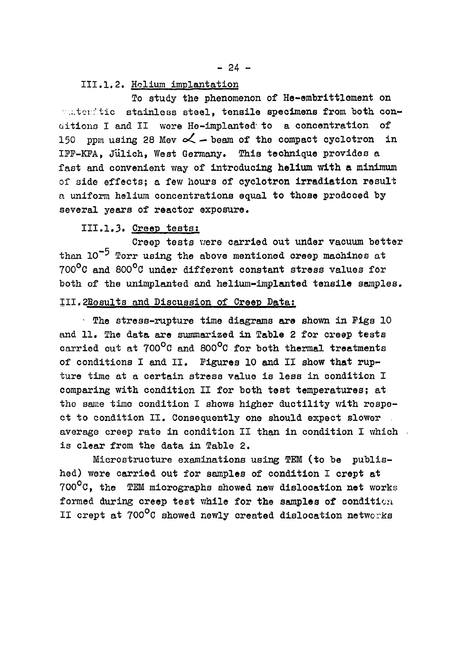**- 24 -**

#### III.1.2. Holium implantation

To study the phenomenon of He-embrittlement on matenitic stainless steel, tensile specimens from both conditions I and II wore He-implanted' to a concentration of 150 ppm using 28 Mev  $\alpha$  – beam of the compact cyclotron in IFF-KFA, Jülich, West Germany. This technique provides a fast and convenient way of introducing helium with a minimum of side effects; a few hours of cyclotron irradiation result a uniform helium concentrations equal to those prodoced by several years of reactor exposure.

#### 111.1.3. Creep tests;

Creep tests were carried out under vacuum better than  $10^{-5}$  Torr using the above mentioned creep machines at 700°C and 800°C under different constant stress values for both of the unimplanted and helium-implanted tensile samples.

#### 511.2Bosults and Discussion of Creep Data:

• The stress-rupture time diagrams are shown in Figs 10 and 11. The data are summarized in Table 2 for creep tests carried out at 700<sup>o</sup>C and 800<sup>o</sup>C for both thermal treatments of conditions I and II. Figures 10 and II show that rupture time at a certain stress value is less in condition I comparing with condition II for both test temperatures; at the same time condition I shows higher ductility with respect to condition II. Consequently one should expect slower average creep rate in condition II than in condition I which is clear from the data in Table 2.

Microstructure examinations using TEM (to be published) were carried out for samples of condition I crept at  $700^{\circ}$ C, the TEM micrographs showed new dislocation net works formed during creep test while for the samples of condition II crept at 700<sup>o</sup>C showed newly created dislocation networks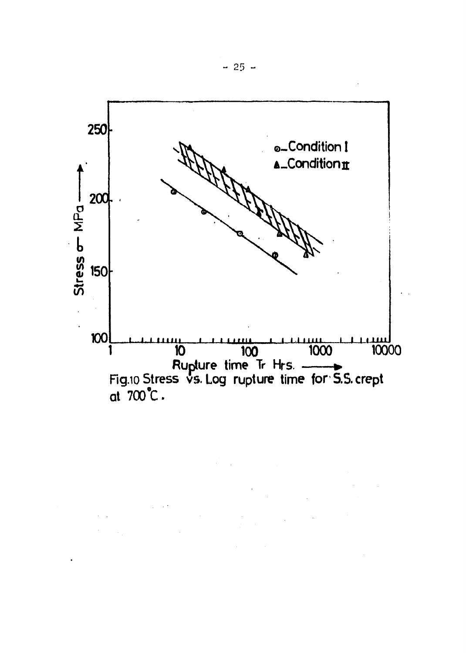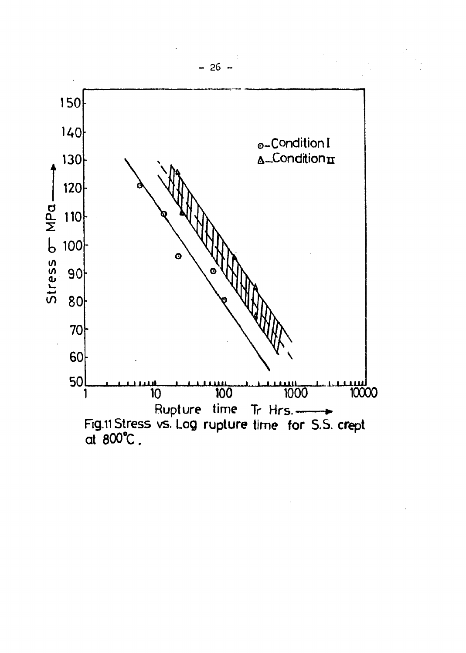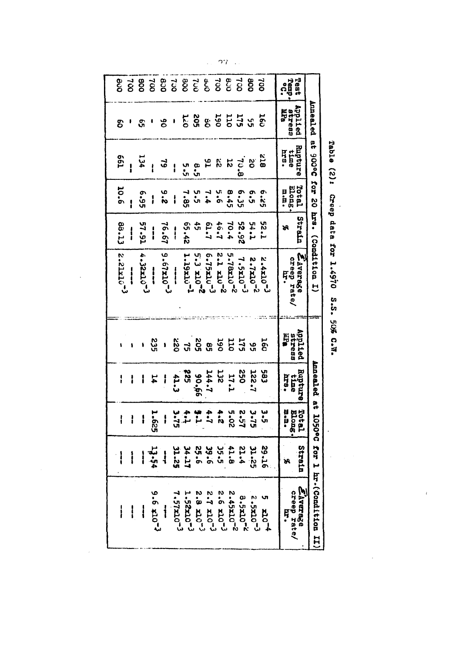| $\mathbf{I}$              |             | I                         | ¦                       |                          | $12.2112^{-3}$                        | 88.13               | <b>10.6</b>             | <b>P97</b>                     | ဌ                                | ဇ္ဇ                     |
|---------------------------|-------------|---------------------------|-------------------------|--------------------------|---------------------------------------|---------------------|-------------------------|--------------------------------|----------------------------------|-------------------------|
|                           |             | i                         | i                       |                          | $\mathbf{r}$                          | I                   | l                       |                                |                                  | $\vec{8}$               |
| $\frac{1}{4}$             |             | ļ                         | I                       |                          | $4.32510^{-3}$                        | <b>57.51</b>        | 56°9                    | 134                            | ဌ                                | 80g                     |
| $6 - 0179 - 6$            | 13.54       | 1.625                     | 74                      | 235                      | $\frac{1}{2}$                         | i                   | I                       | I                              |                                  | $\vec{g}$               |
| $\overline{\mathbf{1}}$   |             | ł                         | i                       | $\bullet$                | $9 - 67$ x10-3                        | 19.91               | s.e                     | ತ                              | ဝိ                               |                         |
| 7.57x10 <sup>-3</sup>     | 31.25       |                           | 41.3                    |                          | $\frac{1}{2}$                         | $\mathbf{I}$        | i                       | I                              | ł                                | 825<br>239<br>830       |
| 1.52210-3                 | $24 - 27$   | $1.75$<br>$3.75$          | <b>225</b>              |                          | $1 - 19x10^{-1}$                      | 55.42               | 7.85                    | ပ္ပ္<br>ပ်က                    |                                  |                         |
| $2.8 \times 10^{-3}$      | 55.6        | $\overline{L}$            |                         |                          | $5.3 \times 10^{-2}$                  | 45                  |                         | စ<br>ပံ                        | 205<br>120                       |                         |
| $5 - 7$ x10 <sup>-3</sup> | 9.66        | $\ddot{r}$                | 744.7<br>744.7          | 25392552                 | 6.75x10-3                             | <b>L' T9</b>        | $7.4$<br>5.5            |                                | <b>85553</b>                     |                         |
| $2.6 \times 10^{-3}$      | 35<br>(1    | 4.2                       | <b>132</b>              |                          | $2 - 1 \times 10^{-2}$                | 46.7                | ΰ,                      | 2                              |                                  |                         |
| $2 - 01257$               | 41.8        |                           | <b>17.1</b>             |                          | $5 - 78x10^{-2}$                      | 70.4                | 8.45                    | 52                             |                                  |                         |
| 8.5x10 <sup>-2</sup>      | 21.4        | 2°2<br>1°37               | SSO                     |                          | $7.5x10^{-3}$                         | 52.92               | <b>6.35</b>             | $\frac{1}{2}$                  |                                  |                         |
| $5.5x20^{-3}$             | 32.25       | 3.75                      | <b>L'22T</b>            |                          | $2.7x10^{-2}$                         | 54.1                | ς.<br>Ο                 | ő                              |                                  | 80                      |
| $5 \times 10^{-4}$        | 91.62       | ι<br>Ω                    | 583                     | δ                        | $2.4x10^{-3}$                         | <b>1°25</b>         | $5 - 25$                | 812                            | င်း                              | <b>SO</b>               |
| ZAVETB2G<br>creep rate/   | Strain<br>H | i<br>S<br>Total<br>Elong. | Bubture<br>ins.<br>time | vopiled<br>stress<br>ine | ZAVerage<br>creep rate/<br>trep rate/ | <b>Strain</b><br>96 | Totel<br>Elong.<br>ロ・ロ・ | <b>Rupture</b><br>time<br>hrs. | Applied<br><b>Stress<br/>MPB</b> | ramp.<br>Clamp.<br>Test |
| for 1 hr. (Condition II   |             |                           | poospied at 1050°C      |                          | $\mathbf{r}$                          | hrs. (Condition     | <b>Cor 20</b>           | <b>DoCO6</b> <sup>18</sup>     | Anneeled                         |                         |
|                           |             |                           |                         |                          |                                       |                     |                         |                                |                                  |                         |

Table (2): Creep data for 1.4970 S.S. 50% C.W.  $\overline{\phantom{a}}$ 

 $\ddot{\phantom{0}}$ 

 $\ell$ 

 $\sigma\gamma$  . .

 $\frac{1}{2}$  .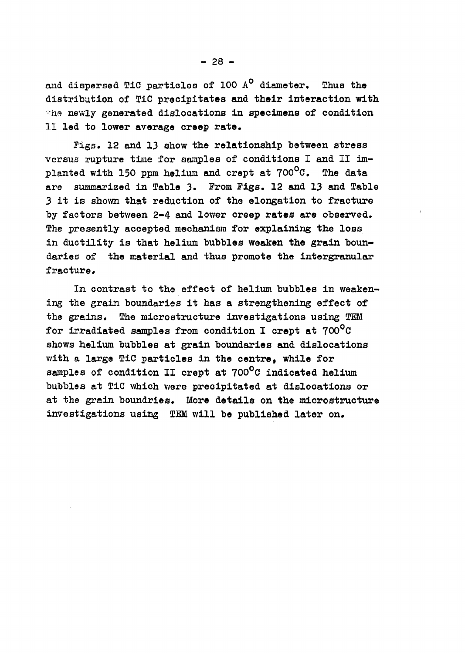and dispersed TiC particles of 100  $A^O$  diameter. Thus the distribution of TiC precipitates and their interaction with  $\therefore$ he newly generated dislocations in specimens of condition II led to lower average creep rate.

Pigs. 12 and 13 show the relationship between stress versus rupture time for samples of conditions I and II implanted with 150 ppm helium and crept at  $700^{\circ}$ C. The data are summarized in Table 3. From Pigs. 12 and 13 and Table 3 it is shown that reduction of the elongation to fracture by factors between 2-4 and lower creep rates are observed. The presently accepted mechanism for explaining the loss in ductility is that helium bubbles weaken the grain boundaries of the material and thus promote the intergranular fracture.

In contrast to the effect of helium bubbles in weakening the grain boundaries it has a strengthening effect of the grains. The microstructure investigations using TEM for irradiated samples from condition I crept at  $700^{\circ}$ C shows helium bubbles at grain boundaries and dislocations with a large TiC particles in the centre, while for samples of condition II crept at 700°C indicated helium bubbles at TiC which were precipitated at dislocations or at the grain boundries. More details on the microstructure investigations using TEM will be published later on.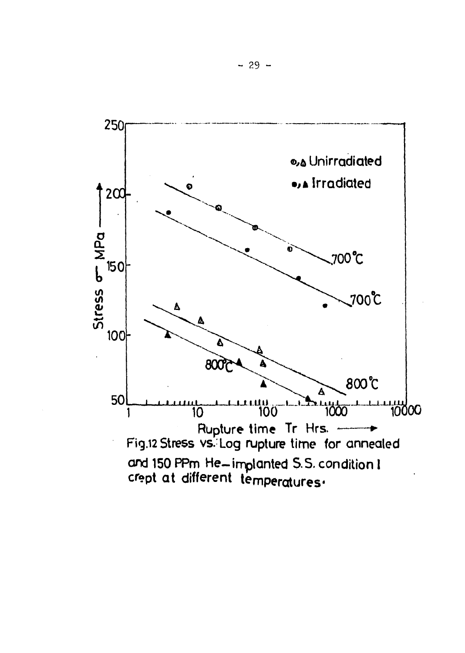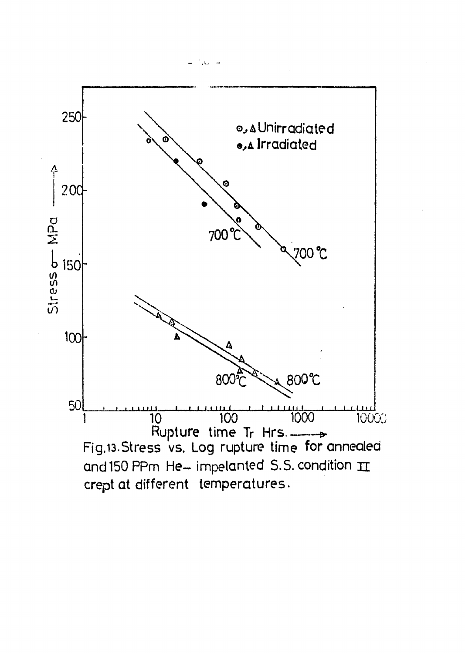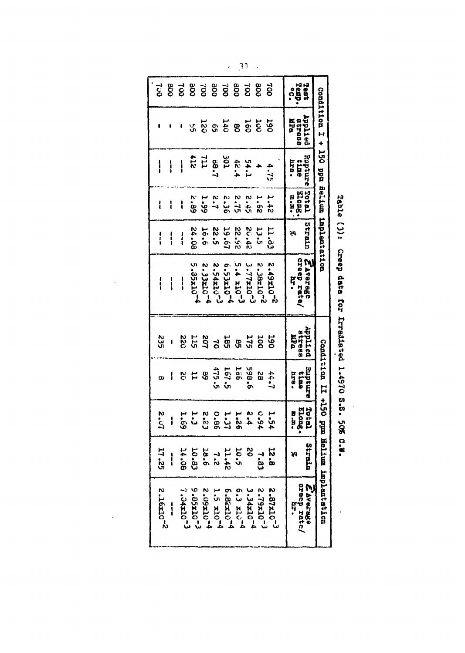| <b>Li</b>      | 800                     |                |                       |                 | goo                  | Too                   | <b>SOC</b>           | zo             | <b>aoo</b>         | ಕ್ಷ            | Test<br>Temp.<br>ဂို                  |                                           |
|----------------|-------------------------|----------------|-----------------------|-----------------|----------------------|-----------------------|----------------------|----------------|--------------------|----------------|---------------------------------------|-------------------------------------------|
|                |                         |                | ىي.<br>س              |                 |                      |                       | 388373               |                |                    | ទ្រ            | Applied<br>889418<br><b>BER</b>       | Condition I + 150 ppm implentation        |
| $\mathbf{i}$   | i                       | ¦              | 711<br>112            |                 | <b>1.88</b>          | $\frac{105}{20}$      | 42.4                 | 24.1           |                    | 4.75           | Bupture<br>159<br>ema<br>1            |                                           |
| l              | l                       | ί              | v,<br>.<br>Go         | <b>1.99</b>     | $\ddot{ }$           | 2.36                  | 51.5                 | $5 + 5$        | $\ddot{\tilde{z}}$ | 1.42           | <b>Total</b><br>Elong.<br>n.n.        |                                           |
| $\mathbf{r}$   | ا<br>ا                  | i              | <b>24.08</b>          | 16.6            | <b>S2.5</b>          | 19.61                 | 26.52                | 20.42          | 13.5               | 11.53          | Strain<br>95                          |                                           |
| $\mathbf{r}$   | i                       | $\frac{1}{1}$  | 5.35x10 <sup>-4</sup> | $2.33210^{-4}$  | $2.54x10^{-3}$       | 6.5321074             | $5.4 \times 10^{-3}$ | $5.77$ $x$ $x$ | 2.38x10-2          | $5.49220^{22}$ | <b>ZAVerage</b><br>creep rate/<br>ŗ   |                                           |
| 235            | ı                       | 220            |                       | 552558<br>50255 |                      |                       |                      | 52             | Ioo                | <b>DST</b>     | App11 ed<br><b>BUNG88</b><br>nipa     |                                           |
| œ              | i                       |                | <b>813</b>            |                 |                      | 167.5<br>475.5        | 166                  | 598.6          | S)                 | 1.77           | ernadny<br>Ë<br>hr8.                  |                                           |
| <b>20.57</b>   | i                       | 59°T           | بن<br>ن               | E 2.5           |                      | 1.37<br>15.37         | <b>1.26</b>          | 2.4            | 76°0               | 1.54           | Total<br><b>Elong</b><br>n a.         |                                           |
| 17.25          | $\mathbf{i}$            | 14.08          | 10.83                 | 18.6            | 2.2                  | 11.42                 | 10.5                 | <b>SO</b>      | r.<br>33           | <b>12.8</b>    | Strain<br>H                           |                                           |
| $2.16x10^{-2}$ | $\overline{\mathbf{I}}$ | $7.04x10^{-3}$ | 9.85x10-3             | 2.09x10-4       | $1.5 \times 10^{-4}$ | 6.82x10 <sup>-4</sup> | $6.3 \times 10^{-4}$ | $3.34x10^{-4}$ | $2.79x10^{-3}$     | $5.87x10^{-3}$ | Zherage<br>  creep rate/<br>प्रम<br>स | condition II +150 ppm Hellum implemtation |

 $\ddot{\phantom{0}}$ 

 $\ddot{\cdot}$ 

Table (3): Creep data for Irradiated 1.4970 S.S. 50% C.W.

 $\bar{\bar{z}}$ 

 $\hat{\boldsymbol{\cdot}$ 

 $\sim$  31  $\%$